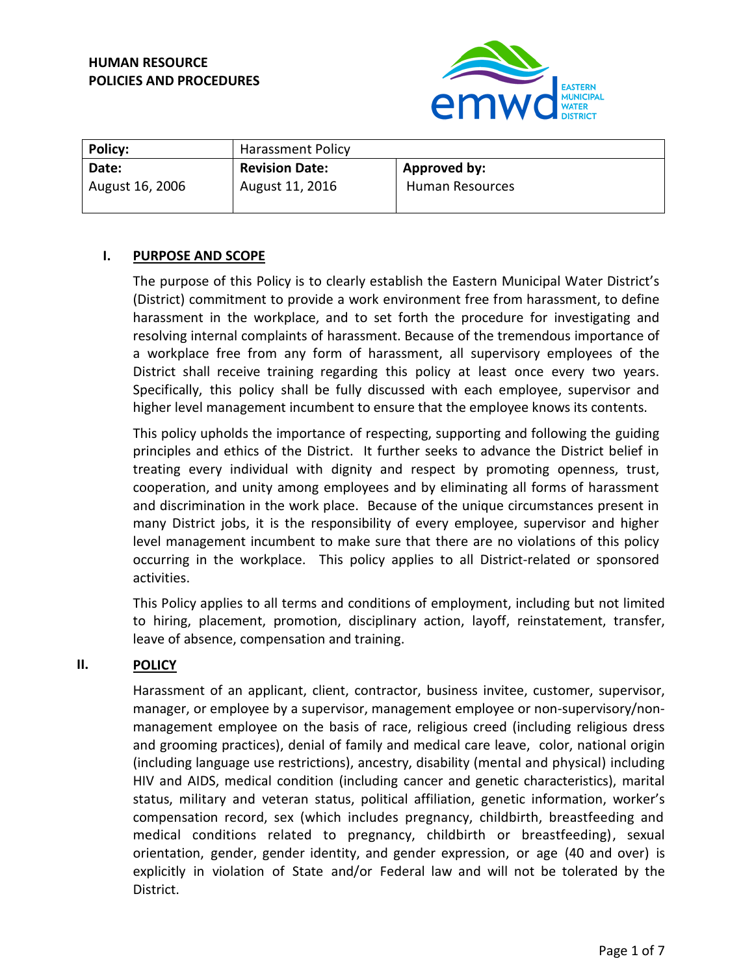

| <b>Policy:</b>  | Harassment Policy     |                 |
|-----------------|-----------------------|-----------------|
| Date:           | <b>Revision Date:</b> | Approved by:    |
| August 16, 2006 | August 11, 2016       | Human Resources |

## **I. PURPOSE AND SCOPE**

The purpose of this Policy is to clearly establish the Eastern Municipal Water District's (District) commitment to provide a work environment free from harassment, to define harassment in the workplace, and to set forth the procedure for investigating and resolving internal complaints of harassment. Because of the tremendous importance of a workplace free from any form of harassment, all supervisory employees of the District shall receive training regarding this policy at least once every two years. Specifically, this policy shall be fully discussed with each employee, supervisor and higher level management incumbent to ensure that the employee knows its contents.

This policy upholds the importance of respecting, supporting and following the guiding principles and ethics of the District. It further seeks to advance the District belief in treating every individual with dignity and respect by promoting openness, trust, cooperation, and unity among employees and by eliminating all forms of harassment and discrimination in the work place. Because of the unique circumstances present in many District jobs, it is the responsibility of every employee, supervisor and higher level management incumbent to make sure that there are no violations of this policy occurring in the workplace. This policy applies to all District-related or sponsored activities.

This Policy applies to all terms and conditions of employment, including but not limited to hiring, placement, promotion, disciplinary action, layoff, reinstatement, transfer, leave of absence, compensation and training.

## **II. POLICY**

Harassment of an applicant, client, contractor, business invitee, customer, supervisor, manager, or employee by a supervisor, management employee or non-supervisory/nonmanagement employee on the basis of race, religious creed (including religious dress and grooming practices), denial of family and medical care leave, color, national origin (including language use restrictions), ancestry, disability (mental and physical) including HIV and AIDS, medical condition (including cancer and genetic characteristics), marital status, military and veteran status, political affiliation, genetic information, worker's compensation record, sex (which includes pregnancy, childbirth, breastfeeding and medical conditions related to pregnancy, childbirth or breastfeeding), sexual orientation, gender, gender identity, and gender expression, or age (40 and over) is explicitly in violation of State and/or Federal law and will not be tolerated by the District.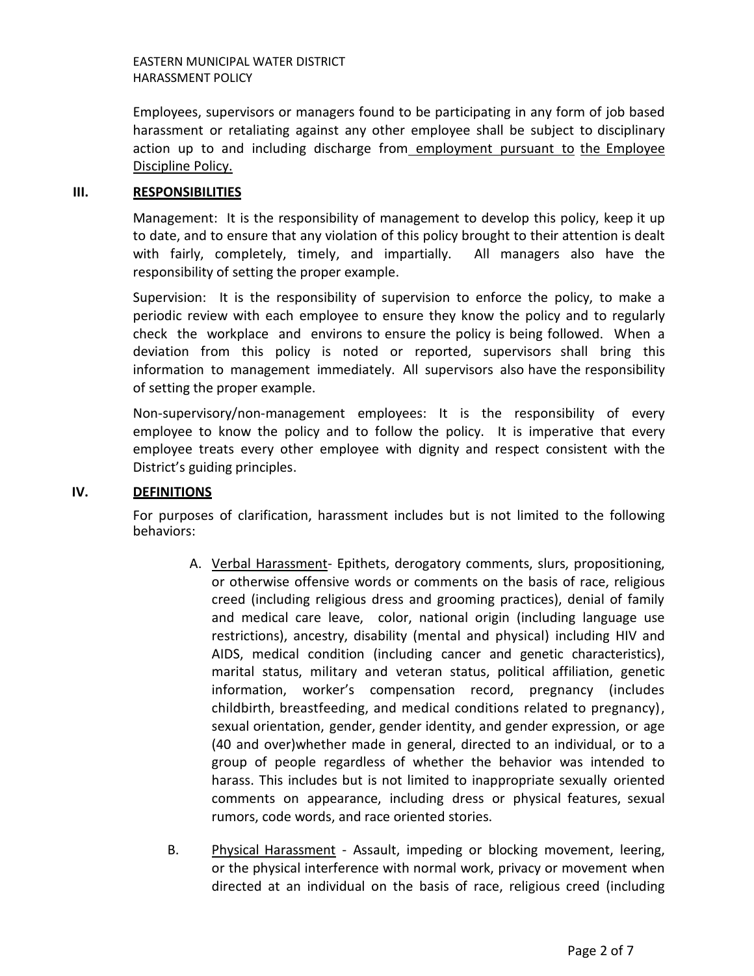EASTERN MUNICIPAL WATER DISTRICT HARASSMENT POLICY

Employees, supervisors or managers found to be participating in any form of job based harassment or retaliating against any other employee shall be subject to disciplinary action up to and including discharge from employment pursuant to the Employee Discipline Policy.

#### **III. RESPONSIBILITIES**

Management: It is the responsibility of management to develop this policy, keep it up to date, and to ensure that any violation of this policy brought to their attention is dealt with fairly, completely, timely, and impartially. All managers also have the responsibility of setting the proper example.

Supervision: It is the responsibility of supervision to enforce the policy, to make a periodic review with each employee to ensure they know the policy and to regularly check the workplace and environs to ensure the policy is being followed. When a deviation from this policy is noted or reported, supervisors shall bring this information to management immediately. All supervisors also have the responsibility of setting the proper example.

Non-supervisory/non-management employees: It is the responsibility of every employee to know the policy and to follow the policy. It is imperative that every employee treats every other employee with dignity and respect consistent with the District's guiding principles.

## **IV. DEFINITIONS**

For purposes of clarification, harassment includes but is not limited to the following behaviors:

- A. Verbal Harassment- Epithets, derogatory comments, slurs, propositioning, or otherwise offensive words or comments on the basis of race, religious creed (including religious dress and grooming practices), denial of family and medical care leave, color, national origin (including language use restrictions), ancestry, disability (mental and physical) including HIV and AIDS, medical condition (including cancer and genetic characteristics), marital status, military and veteran status, political affiliation, genetic information, worker's compensation record, pregnancy (includes childbirth, breastfeeding, and medical conditions related to pregnancy), sexual orientation, gender, gender identity, and gender expression, or age (40 and over)whether made in general, directed to an individual, or to a group of people regardless of whether the behavior was intended to harass. This includes but is not limited to inappropriate sexually oriented comments on appearance, including dress or physical features, sexual rumors, code words, and race oriented stories.
- B. Physical Harassment Assault, impeding or blocking movement, leering, or the physical interference with normal work, privacy or movement when directed at an individual on the basis of race, religious creed (including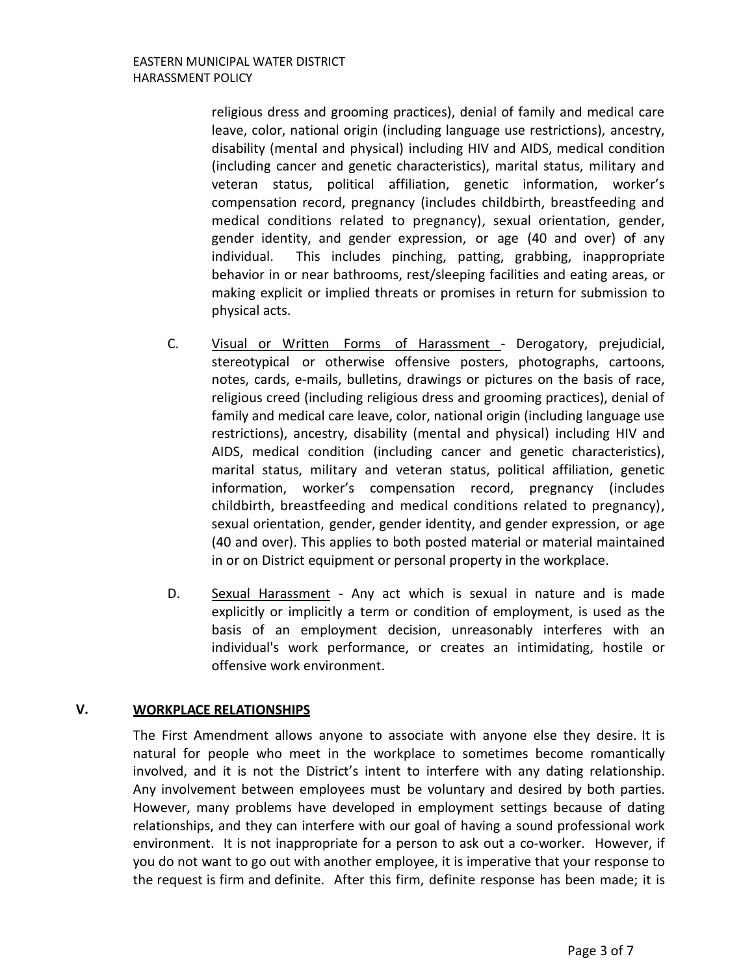religious dress and grooming practices), denial of family and medical care leave, color, national origin (including language use restrictions), ancestry, disability (mental and physical) including HIV and AIDS, medical condition (including cancer and genetic characteristics), marital status, military and veteran status, political affiliation, genetic information, worker's compensation record, pregnancy (includes childbirth, breastfeeding and medical conditions related to pregnancy), sexual orientation, gender, gender identity, and gender expression, or age (40 and over) of any individual. This includes pinching, patting, grabbing, inappropriate behavior in or near bathrooms, rest/sleeping facilities and eating areas, or making explicit or implied threats or promises in return for submission to physical acts.

- C. Visual or Written Forms of Harassment Derogatory, prejudicial, stereotypical or otherwise offensive posters, photographs, cartoons, notes, cards, e-mails, bulletins, drawings or pictures on the basis of race, religious creed (including religious dress and grooming practices), denial of family and medical care leave, color, national origin (including language use restrictions), ancestry, disability (mental and physical) including HIV and AIDS, medical condition (including cancer and genetic characteristics), marital status, military and veteran status, political affiliation, genetic information, worker's compensation record, pregnancy (includes childbirth, breastfeeding and medical conditions related to pregnancy), sexual orientation, gender, gender identity, and gender expression, or age (40 and over). This applies to both posted material or material maintained in or on District equipment or personal property in the workplace.
- D. Sexual Harassment Any act which is sexual in nature and is made explicitly or implicitly a term or condition of employment, is used as the basis of an employment decision, unreasonably interferes with an individual's work performance, or creates an intimidating, hostile or offensive work environment.

## **V. WORKPLACE RELATIONSHIPS**

The First Amendment allows anyone to associate with anyone else they desire. It is natural for people who meet in the workplace to sometimes become romantically involved, and it is not the District's intent to interfere with any dating relationship. Any involvement between employees must be voluntary and desired by both parties. However, many problems have developed in employment settings because of dating relationships, and they can interfere with our goal of having a sound professional work environment. It is not inappropriate for a person to ask out a co-worker. However, if you do not want to go out with another employee, it is imperative that your response to the request is firm and definite. After this firm, definite response has been made; it is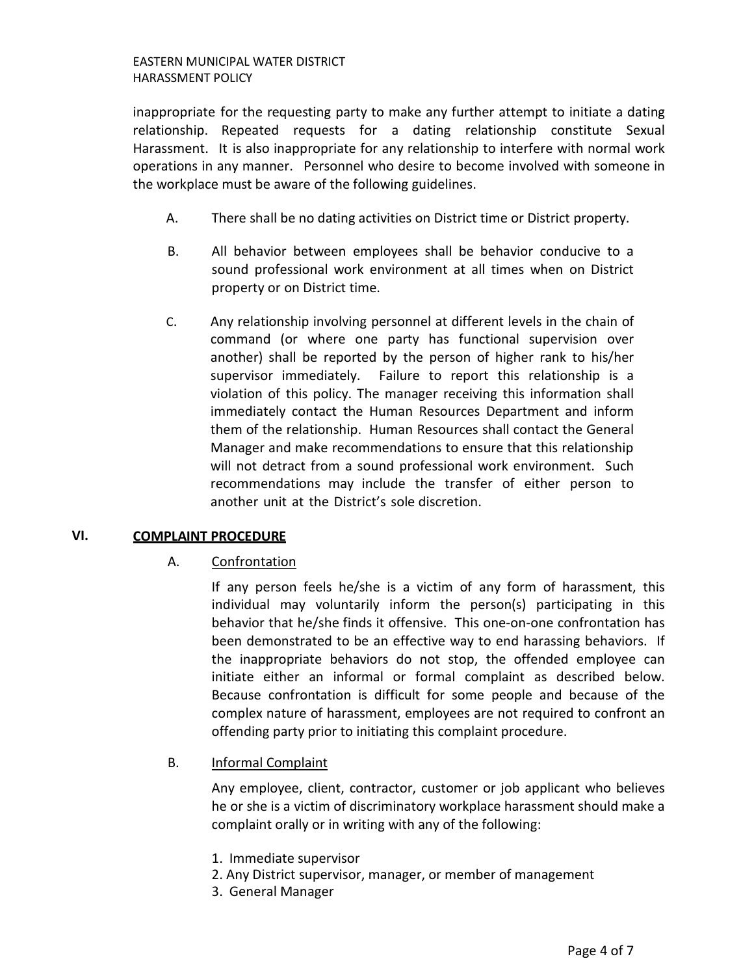inappropriate for the requesting party to make any further attempt to initiate a dating relationship. Repeated requests for a dating relationship constitute Sexual Harassment. It is also inappropriate for any relationship to interfere with normal work operations in any manner. Personnel who desire to become involved with someone in the workplace must be aware of the following guidelines.

- A. There shall be no dating activities on District time or District property.
- B. All behavior between employees shall be behavior conducive to a sound professional work environment at all times when on District property or on District time.
- C. Any relationship involving personnel at different levels in the chain of command (or where one party has functional supervision over another) shall be reported by the person of higher rank to his/her supervisor immediately. Failure to report this relationship is a violation of this policy. The manager receiving this information shall immediately contact the Human Resources Department and inform them of the relationship. Human Resources shall contact the General Manager and make recommendations to ensure that this relationship will not detract from a sound professional work environment. Such recommendations may include the transfer of either person to another unit at the District's sole discretion.

## **VI. COMPLAINT PROCEDURE**

A. Confrontation

If any person feels he/she is a victim of any form of harassment, this individual may voluntarily inform the person(s) participating in this behavior that he/she finds it offensive. This one-on-one confrontation has been demonstrated to be an effective way to end harassing behaviors. If the inappropriate behaviors do not stop, the offended employee can initiate either an informal or formal complaint as described below. Because confrontation is difficult for some people and because of the complex nature of harassment, employees are not required to confront an offending party prior to initiating this complaint procedure.

B. Informal Complaint

Any employee, client, contractor, customer or job applicant who believes he or she is a victim of discriminatory workplace harassment should make a complaint orally or in writing with any of the following:

- 1. Immediate supervisor
- 2. Any District supervisor, manager, or member of management
- 3. General Manager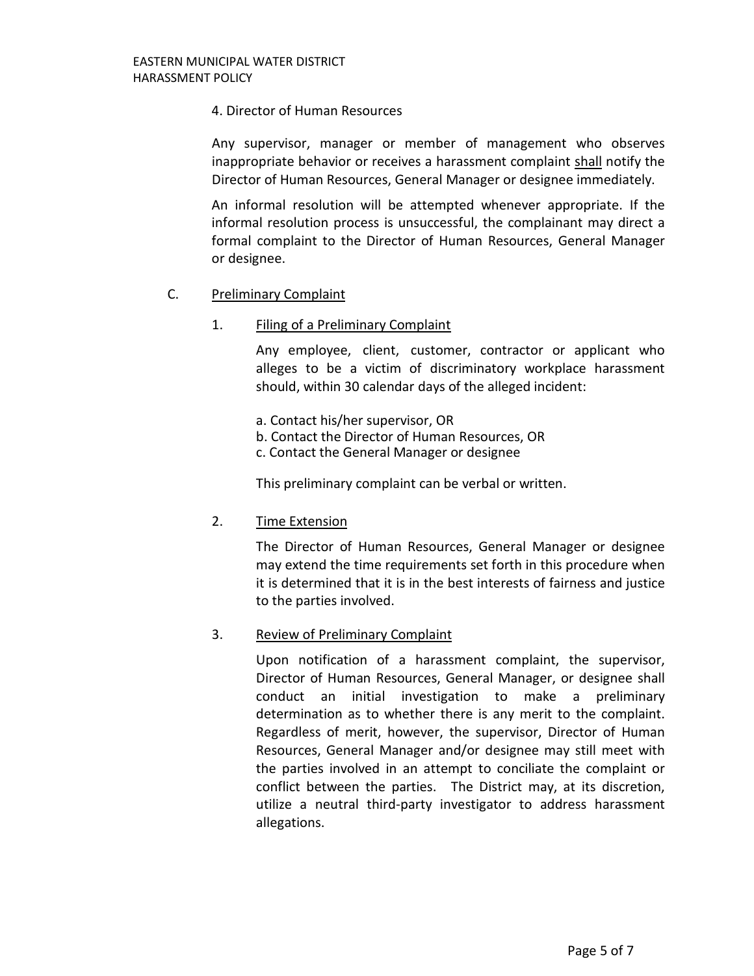#### 4. Director of Human Resources

Any supervisor, manager or member of management who observes inappropriate behavior or receives a harassment complaint shall notify the Director of Human Resources, General Manager or designee immediately.

An informal resolution will be attempted whenever appropriate. If the informal resolution process is unsuccessful, the complainant may direct a formal complaint to the Director of Human Resources, General Manager or designee.

## C. Preliminary Complaint

## 1. Filing of a Preliminary Complaint

Any employee, client, customer, contractor or applicant who alleges to be a victim of discriminatory workplace harassment should, within 30 calendar days of the alleged incident:

- a. Contact his/her supervisor, OR
- b. Contact the Director of Human Resources, OR
- c. Contact the General Manager or designee

This preliminary complaint can be verbal or written.

## 2. Time Extension

The Director of Human Resources, General Manager or designee may extend the time requirements set forth in this procedure when it is determined that it is in the best interests of fairness and justice to the parties involved.

## 3. Review of Preliminary Complaint

Upon notification of a harassment complaint, the supervisor, Director of Human Resources, General Manager, or designee shall conduct an initial investigation to make a preliminary determination as to whether there is any merit to the complaint. Regardless of merit, however, the supervisor, Director of Human Resources, General Manager and/or designee may still meet with the parties involved in an attempt to conciliate the complaint or conflict between the parties. The District may, at its discretion, utilize a neutral third-party investigator to address harassment allegations.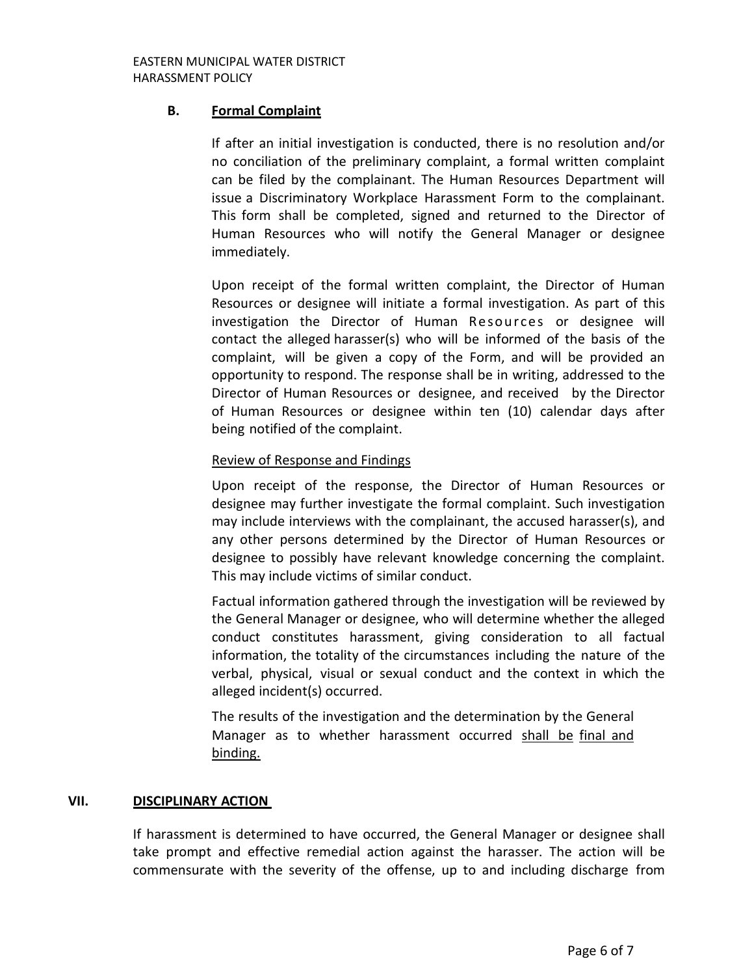# **B. Formal Complaint**

If after an initial investigation is conducted, there is no resolution and/or no conciliation of the preliminary complaint, a formal written complaint can be filed by the complainant. The Human Resources Department will issue a Discriminatory Workplace Harassment Form to the complainant. This form shall be completed, signed and returned to the Director of Human Resources who will notify the General Manager or designee immediately.

Upon receipt of the formal written complaint, the Director of Human Resources or designee will initiate a formal investigation. As part of this investigation the Director of Human Resources or designee will contact the alleged harasser(s) who will be informed of the basis of the complaint, will be given a copy of the Form, and will be provided an opportunity to respond. The response shall be in writing, addressed to the Director of Human Resources or designee, and received by the Director of Human Resources or designee within ten (10) calendar days after being notified of the complaint.

## Review of Response and Findings

Upon receipt of the response, the Director of Human Resources or designee may further investigate the formal complaint. Such investigation may include interviews with the complainant, the accused harasser(s), and any other persons determined by the Director of Human Resources or designee to possibly have relevant knowledge concerning the complaint. This may include victims of similar conduct.

Factual information gathered through the investigation will be reviewed by the General Manager or designee, who will determine whether the alleged conduct constitutes harassment, giving consideration to all factual information, the totality of the circumstances including the nature of the verbal, physical, visual or sexual conduct and the context in which the alleged incident(s) occurred.

The results of the investigation and the determination by the General Manager as to whether harassment occurred shall be final and binding.

## **VII. DISCIPLINARY ACTION**

If harassment is determined to have occurred, the General Manager or designee shall take prompt and effective remedial action against the harasser. The action will be commensurate with the severity of the offense, up to and including discharge from